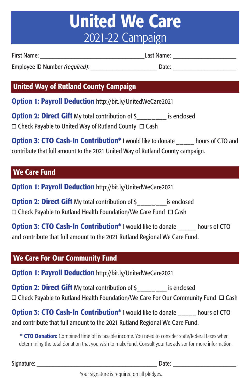# United We Care 2021-22 Campaign

First Name: The Community Community Community Community Community Community Community Community Community Community Community Community Community Community Community Community Community Community Community Community Commun

Employee ID Number *(required)*: **Employee ID** Number *(required)*:

## United Way of Rutland County Campaign

Option 1: Payroll Deduction http://bit.ly/UnitedWeCare2021

| <b>Option 2: Direct Gift My total contribution of \$</b>         | is enclosed |
|------------------------------------------------------------------|-------------|
| $\Box$ Check Payable to United Way of Rutland County $\Box$ Cash |             |

**Option 3: CTO Cash-In Contribution**\* I would like to donate hours of CTO and contribute that full amount to the 2021 United Way of Rutland County campaign.

#### We Care Fund

Option 1: Payroll Deduction http://bit.ly/UnitedWeCare2021

**Option 2: Direct Gift** My total contribution of \$ is enclosed  $\square$  Check Pavable to Rutland Health Foundation/We Care Fund  $\square$  Cash

**Option 3: CTO Cash-In Contribution**\* I would like to donate hours of CTO and contribute that full amount to the 2021 Rutland Regional We Care Fund.

### We Care For Our Community Fund

Option 1: Payroll Deduction http://bit.ly/UnitedWeCare2021

**Option 2: Direct Gift** My total contribution of \$ is enclosed  $\Box$  Check Payable to Rutland Health Foundation/We Care For Our Community Fund  $\Box$  Cash

| <b>Option 3: CTO Cash-In Contribution* I would like to donate</b>          | hours of CTO |
|----------------------------------------------------------------------------|--------------|
| and contribute that full amount to the 2021 Rutland Regional We Care Fund. |              |

\* CTO Donation: Combined time off is taxable income. You need to consider state/federal taxes when determining the total donation that you wish to makeFund. Consult your tax advisor for more information.

Date:  $\Box$